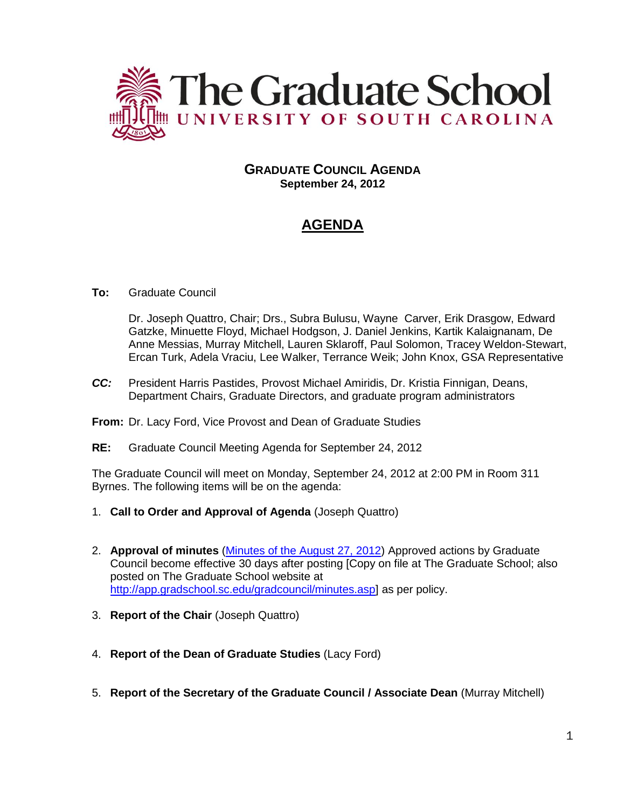

# **GRADUATE COUNCIL AGENDA September 24, 2012**

# **AGENDA**

# **To:** Graduate Council

Dr. Joseph Quattro, Chair; Drs., Subra Bulusu, Wayne Carver, Erik Drasgow, Edward Gatzke, Minuette Floyd, Michael Hodgson, J. Daniel Jenkins, Kartik Kalaignanam, De Anne Messias, Murray Mitchell, Lauren Sklaroff, Paul Solomon, Tracey Weldon-Stewart, Ercan Turk, Adela Vraciu, Lee Walker, Terrance Weik; John Knox, GSA Representative

- *CC:* President Harris Pastides, Provost Michael Amiridis, Dr. Kristia Finnigan, Deans, Department Chairs, Graduate Directors, and graduate program administrators
- **From:** Dr. Lacy Ford, Vice Provost and Dean of Graduate Studies
- **RE:** Graduate Council Meeting Agenda for September 24, 2012

The Graduate Council will meet on Monday, September 24, 2012 at 2:00 PM in Room 311 Byrnes. The following items will be on the agenda:

- 1. **Call to Order and Approval of Agenda** (Joseph Quattro)
- 2. **Approval of minutes** [\(Minutes of the August 27, 2012\)](http://app.gradschool.sc.edu/includes/filedownload-public.asp?location=E:/GMS/GRADCOUNCIL/2012/GCMinutes082712.pdf&file_name=GCMinutes082712.pdf) Approved actions by Graduate Council become effective 30 days after posting [Copy on file at The Graduate School; also posted on The Graduate School website at [http://app.gradschool.sc.edu/gradcouncil/minutes.asp\]](http://app.gradschool.sc.edu/gradcouncil/minutes.asp) as per policy.
- 3. **Report of the Chair** (Joseph Quattro)
- 4. **Report of the Dean of Graduate Studies** (Lacy Ford)
- 5. **Report of the Secretary of the Graduate Council / Associate Dean** (Murray Mitchell)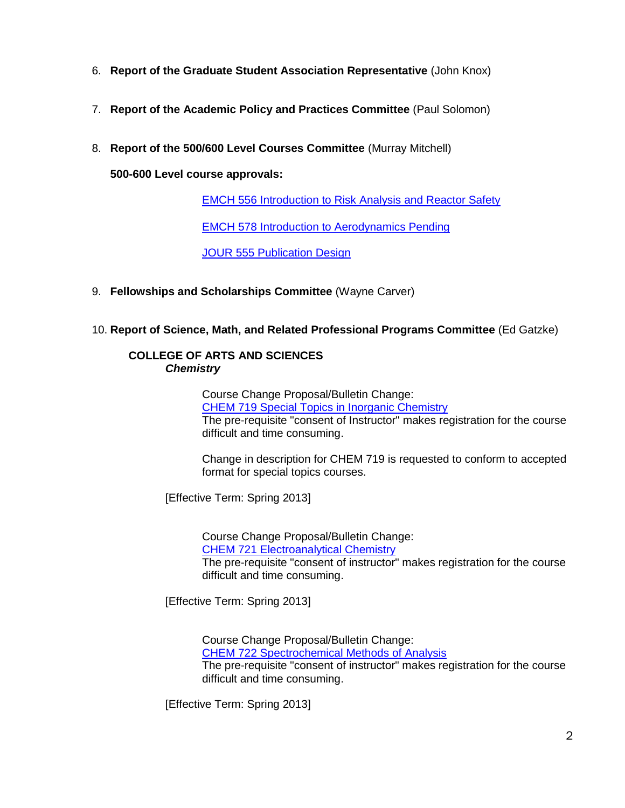- 6. **Report of the Graduate Student Association Representative** (John Knox)
- 7. **Report of the Academic Policy and Practices Committee** (Paul Solomon)
- 8. **Report of the 500/600 Level Courses Committee** (Murray Mitchell)

**500-600 Level course approvals:**

[EMCH 556 Introduction to Risk](http://app.gradschool.sc.edu/includes/filedownload-public.asp?location=E:/GMS/GRADCOUNCIL/2012/NCPEMCH556_201241_Redacted.pdf&file_name=NCPEMCH556_201241_Redacted.pdf) Analysis and Reactor Safety

[EMCH 578 Introduction to Aerodynamics Pending](http://app.gradschool.sc.edu/includes/filedownload-public.asp?location=E:/GMS/GRADCOUNCIL/2012/NCPEMCH578_201241_Redacted.pdf&file_name=NCPEMCH578_201241_Redacted.pdf)

[JOUR 555 Publication Design](http://app.gradschool.sc.edu/includes/filedownload-public.asp?location=E:/GMS/GRADCOUNCIL/2012/CCPJOUR555_201241_Redacted.pdf&file_name=CCPJOUR555_201241_Redacted.pdf)

- 9. **Fellowships and Scholarships Committee** (Wayne Carver)
- 10. **Report of Science, Math, and Related Professional Programs Committee** (Ed Gatzke)

#### **COLLEGE OF ARTS AND SCIENCES** *Chemistry*

Course Change Proposal/Bulletin Change: [CHEM 719 Special Topics in Inorganic Chemistry](http://app.gradschool.sc.edu/includes/filedownload-public.asp?location=E:/GMS/GRADCOUNCIL/2012/CCPCHEM719_201241.pdf&file_name=CCPCHEM719_201241.pdf) The pre-requisite "consent of Instructor" makes registration for the course difficult and time consuming.

Change in description for CHEM 719 is requested to conform to accepted format for special topics courses.

[Effective Term: Spring 2013]

Course Change Proposal/Bulletin Change: [CHEM 721 Electroanalytical Chemistry](http://app.gradschool.sc.edu/includes/filedownload-public.asp?location=E:/GMS/GRADCOUNCIL/2012/CCPCHEM721_201241.pdf&file_name=CCPCHEM721_201241.pdf) The pre-requisite "consent of instructor" makes registration for the course difficult and time consuming.

[Effective Term: Spring 2013]

Course Change Proposal/Bulletin Change: [CHEM 722 Spectrochemical Methods of Analysis](http://app.gradschool.sc.edu/includes/filedownload-public.asp?location=E:/GMS/GRADCOUNCIL/2012/CCPCHEM722_201241.pdf&file_name=CCPCHEM722_201241.pdf) The pre-requisite "consent of instructor" makes registration for the course difficult and time consuming.

[Effective Term: Spring 2013]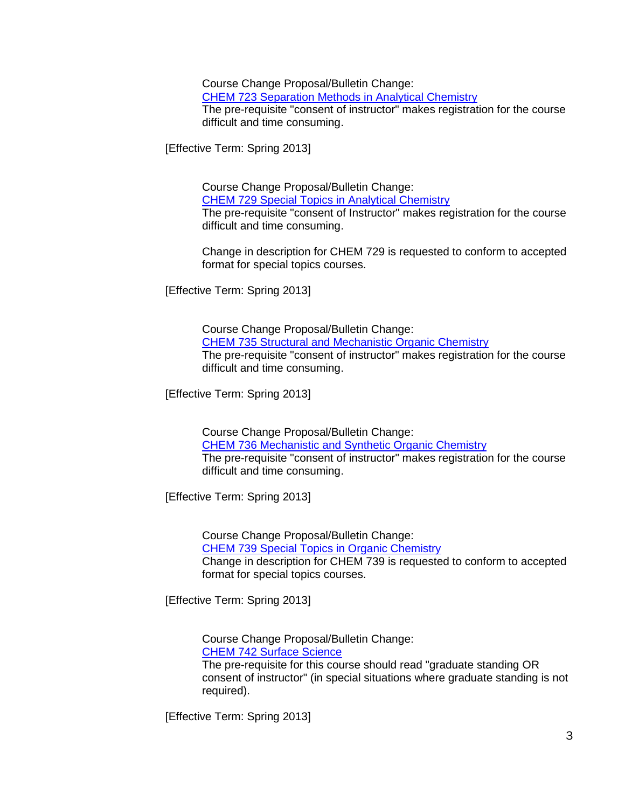Course Change Proposal/Bulletin Change: [CHEM 723 Separation Methods in Analytical Chemistry](http://app.gradschool.sc.edu/includes/filedownload-public.asp?location=E:/GMS/GRADCOUNCIL/2012/CCPCHEM723_201241.pdf&file_name=CCPCHEM723_201241.pdf) The pre-requisite "consent of instructor" makes registration for the course difficult and time consuming.

[Effective Term: Spring 2013]

Course Change Proposal/Bulletin Change: [CHEM 729 Special Topics in Analytical Chemistry](http://app.gradschool.sc.edu/includes/filedownload-public.asp?location=E:/GMS/GRADCOUNCIL/2012/CCPCHEM729_201241_Redacted.pdf&file_name=CCPCHEM729_201241_Redacted.pdf) The pre-requisite "consent of Instructor" makes registration for the course difficult and time consuming.

Change in description for CHEM 729 is requested to conform to accepted format for special topics courses.

[Effective Term: Spring 2013]

Course Change Proposal/Bulletin Change: [CHEM 735 Structural and Mechanistic Organic Chemistry](http://app.gradschool.sc.edu/includes/filedownload-public.asp?location=E:/GMS/GRADCOUNCIL/2012/CCPCHEM735_201241.pdf&file_name=CCPCHEM735_201241.pdf) The pre-requisite "consent of instructor" makes registration for the course difficult and time consuming.

[Effective Term: Spring 2013]

Course Change Proposal/Bulletin Change: [CHEM 736 Mechanistic and Synthetic Organic Chemistry](http://app.gradschool.sc.edu/includes/filedownload-public.asp?location=E:/GMS/GRADCOUNCIL/2012/CCPCHEM736_201241.pdf&file_name=CCPCHEM736_201241.pdf) The pre-requisite "consent of instructor" makes registration for the course difficult and time consuming.

[Effective Term: Spring 2013]

Course Change Proposal/Bulletin Change: [CHEM 739 Special Topics in Organic Chemistry](http://app.gradschool.sc.edu/includes/filedownload-public.asp?location=E:/GMS/GRADCOUNCIL/2012/CCPCHEM739_201241.pdf&file_name=CCPCHEM739_201241.pdf) Change in description for CHEM 739 is requested to conform to accepted format for special topics courses.

[Effective Term: Spring 2013]

Course Change Proposal/Bulletin Change: [CHEM 742 Surface Science](http://app.gradschool.sc.edu/includes/filedownload-public.asp?location=E:/GMS/GRADCOUNCIL/2012/CCPCHEM742_201241.pdf&file_name=CCPCHEM742_201241.pdf)

The pre-requisite for this course should read "graduate standing OR consent of instructor" (in special situations where graduate standing is not required).

[Effective Term: Spring 2013]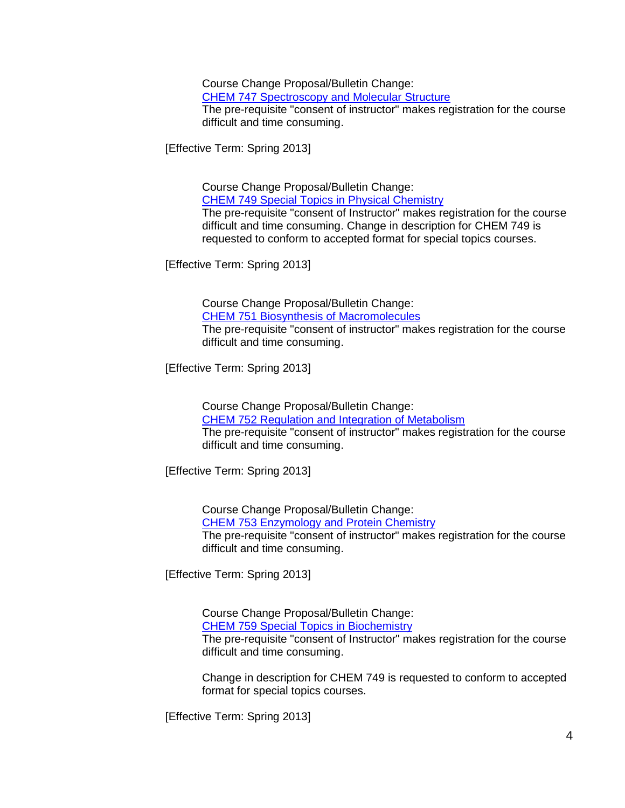Course Change Proposal/Bulletin Change: [CHEM 747 Spectroscopy and Molecular Structure](http://app.gradschool.sc.edu/includes/filedownload-public.asp?location=E:/GMS/GRADCOUNCIL/2012/CCPCHEM747_201241.pdf&file_name=CCPCHEM747_201241.pdf) The pre-requisite "consent of instructor" makes registration for the course difficult and time consuming.

[Effective Term: Spring 2013]

Course Change Proposal/Bulletin Change:

[CHEM 749 Special Topics in Physical Chemistry](http://app.gradschool.sc.edu/includes/filedownload-public.asp?location=E:/GMS/GRADCOUNCIL/2012/CCPCHEM749_201241_Redacted.pdf&file_name=CCPCHEM749_201241_Redacted.pdf)

The pre-requisite "consent of Instructor" makes registration for the course difficult and time consuming. Change in description for CHEM 749 is requested to conform to accepted format for special topics courses.

[Effective Term: Spring 2013]

Course Change Proposal/Bulletin Change:

[CHEM 751 Biosynthesis of Macromolecules](http://app.gradschool.sc.edu/includes/filedownload-public.asp?location=E:/GMS/GRADCOUNCIL/2012/CCPCHEM751_201241.pdf&file_name=CCPCHEM751_201241.pdf)

The pre-requisite "consent of instructor" makes registration for the course difficult and time consuming.

[Effective Term: Spring 2013]

Course Change Proposal/Bulletin Change: [CHEM 752 Regulation and Integration of Metabolism](http://app.gradschool.sc.edu/includes/filedownload-public.asp?location=E:/GMS/GRADCOUNCIL/2012/CCPCHEM752_201241.pdf&file_name=CCPCHEM752_201241.pdf) The pre-requisite "consent of instructor" makes registration for the course difficult and time consuming.

[Effective Term: Spring 2013]

Course Change Proposal/Bulletin Change: [CHEM 753 Enzymology and Protein Chemistry](http://app.gradschool.sc.edu/includes/filedownload-public.asp?location=E:/GMS/GRADCOUNCIL/2012/CCPCHEM753_201241.pdf&file_name=CCPCHEM753_201241.pdf) The pre-requisite "consent of instructor" makes registration for the course difficult and time consuming.

[Effective Term: Spring 2013]

Course Change Proposal/Bulletin Change: [CHEM 759 Special Topics in Biochemistry](http://app.gradschool.sc.edu/includes/filedownload-public.asp?location=E:/GMS/GRADCOUNCIL/2012/CCPCHEM759_201241.pdf&file_name=CCPCHEM759_201241.pdf) The pre-requisite "consent of Instructor" makes registration for the course difficult and time consuming.

Change in description for CHEM 749 is requested to conform to accepted format for special topics courses.

[Effective Term: Spring 2013]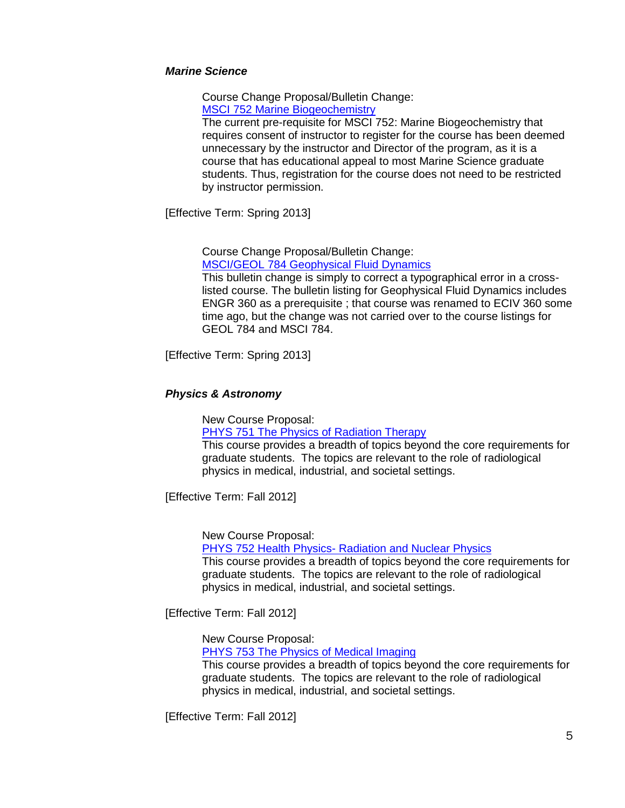#### *Marine Science*

Course Change Proposal/Bulletin Change: [MSCI 752 Marine Biogeochemistry](http://app.gradschool.sc.edu/includes/filedownload-public.asp?location=E:/GMS/GRADCOUNCIL/2012/CCPMSCI752_201241.pdf&file_name=CCPMSCI752_201241.pdf)

The current pre-requisite for MSCI 752: Marine Biogeochemistry that requires consent of instructor to register for the course has been deemed unnecessary by the instructor and Director of the program, as it is a course that has educational appeal to most Marine Science graduate students. Thus, registration for the course does not need to be restricted by instructor permission.

[Effective Term: Spring 2013]

Course Change Proposal/Bulletin Change: [MSCI/GEOL 784 Geophysical Fluid Dynamics](http://app.gradschool.sc.edu/includes/filedownload-public.asp?location=E:/GMS/GRADCOUNCIL/2012/CCPMSCIGEOL784_201241_Redacted.pdf&file_name=CCPMSCIGEOL784_201241_Redacted.pdf)

This bulletin change is simply to correct a typographical error in a crosslisted course. The bulletin listing for Geophysical Fluid Dynamics includes ENGR 360 as a prerequisite ; that course was renamed to ECIV 360 some time ago, but the change was not carried over to the course listings for GEOL 784 and MSCI 784.

[Effective Term: Spring 2013]

## *Physics & Astronomy*

New Course Proposal:

PHYS 751 The [Physics of Radiation Therapy](http://app.gradschool.sc.edu/includes/filedownload-public.asp?location=E:/GMS/GRADCOUNCIL/2011/NCPPHYS751_201211.pdf&file_name=NCPPHYS751_201211.pdf)

This course provides a breadth of topics beyond the core requirements for graduate students. The topics are relevant to the role of radiological physics in medical, industrial, and societal settings.

[Effective Term: Fall 2012]

New Course Proposal:

PHYS 752 Health Physics- [Radiation and Nuclear Physics](http://app.gradschool.sc.edu/includes/filedownload-public.asp?location=E:/GMS/GRADCOUNCIL/2011/NCPPHYS752_201211.pdf&file_name=NCPPHYS752_201211.pdf)

This course provides a breadth of topics beyond the core requirements for graduate students. The topics are relevant to the role of radiological physics in medical, industrial, and societal settings.

[Effective Term: Fall 2012]

New Course Proposal:

[PHYS 753 The Physics of Medical Imaging](http://app.gradschool.sc.edu/includes/filedownload-public.asp?location=E:/GMS/GRADCOUNCIL/2011/NCPPHYS753_201211.pdf&file_name=NCPPHYS753_201211.pdf)

This course provides a breadth of topics beyond the core requirements for graduate students. The topics are relevant to the role of radiological physics in medical, industrial, and societal settings.

[Effective Term: Fall 2012]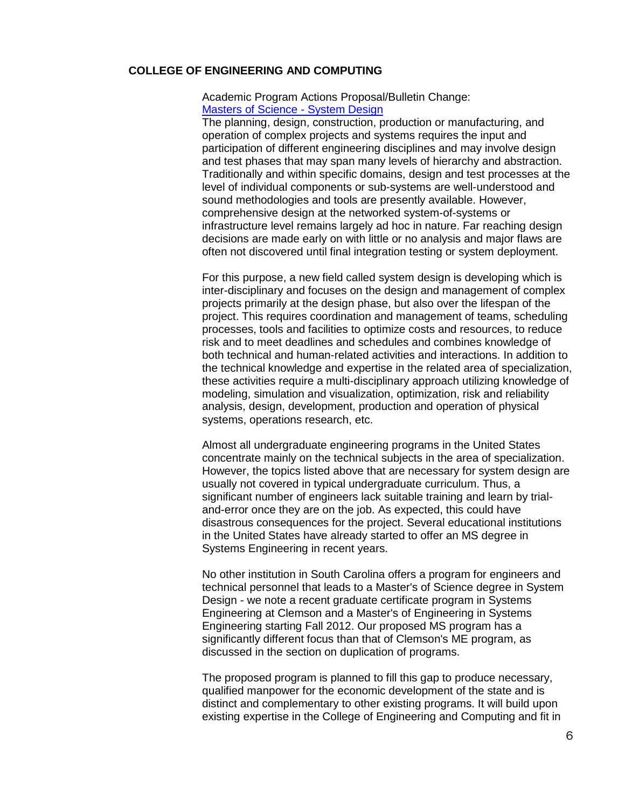#### **COLLEGE OF ENGINEERING AND COMPUTING**

## Academic Program Actions Proposal/Bulletin Change: [Masters of Science -](http://app.gradschool.sc.edu/includes/filedownload-public.asp?location=E:/GMS/GRADCOUNCIL/2012/APASystemDesign_201241_Redacted.pdf&file_name=APASystemDesign_201241_Redacted.pdf) System Design

The planning, design, construction, production or manufacturing, and operation of complex projects and systems requires the input and participation of different engineering disciplines and may involve design and test phases that may span many levels of hierarchy and abstraction. Traditionally and within specific domains, design and test processes at the level of individual components or sub-systems are well-understood and sound methodologies and tools are presently available. However, comprehensive design at the networked system-of-systems or infrastructure level remains largely ad hoc in nature. Far reaching design decisions are made early on with little or no analysis and major flaws are often not discovered until final integration testing or system deployment.

For this purpose, a new field called system design is developing which is inter-disciplinary and focuses on the design and management of complex projects primarily at the design phase, but also over the lifespan of the project. This requires coordination and management of teams, scheduling processes, tools and facilities to optimize costs and resources, to reduce risk and to meet deadlines and schedules and combines knowledge of both technical and human-related activities and interactions. In addition to the technical knowledge and expertise in the related area of specialization, these activities require a multi-disciplinary approach utilizing knowledge of modeling, simulation and visualization, optimization, risk and reliability analysis, design, development, production and operation of physical systems, operations research, etc.

Almost all undergraduate engineering programs in the United States concentrate mainly on the technical subjects in the area of specialization. However, the topics listed above that are necessary for system design are usually not covered in typical undergraduate curriculum. Thus, a significant number of engineers lack suitable training and learn by trialand-error once they are on the job. As expected, this could have disastrous consequences for the project. Several educational institutions in the United States have already started to offer an MS degree in Systems Engineering in recent years.

No other institution in South Carolina offers a program for engineers and technical personnel that leads to a Master's of Science degree in System Design - we note a recent graduate certificate program in Systems Engineering at Clemson and a Master's of Engineering in Systems Engineering starting Fall 2012. Our proposed MS program has a significantly different focus than that of Clemson's ME program, as discussed in the section on duplication of programs.

The proposed program is planned to fill this gap to produce necessary, qualified manpower for the economic development of the state and is distinct and complementary to other existing programs. It will build upon existing expertise in the College of Engineering and Computing and fit in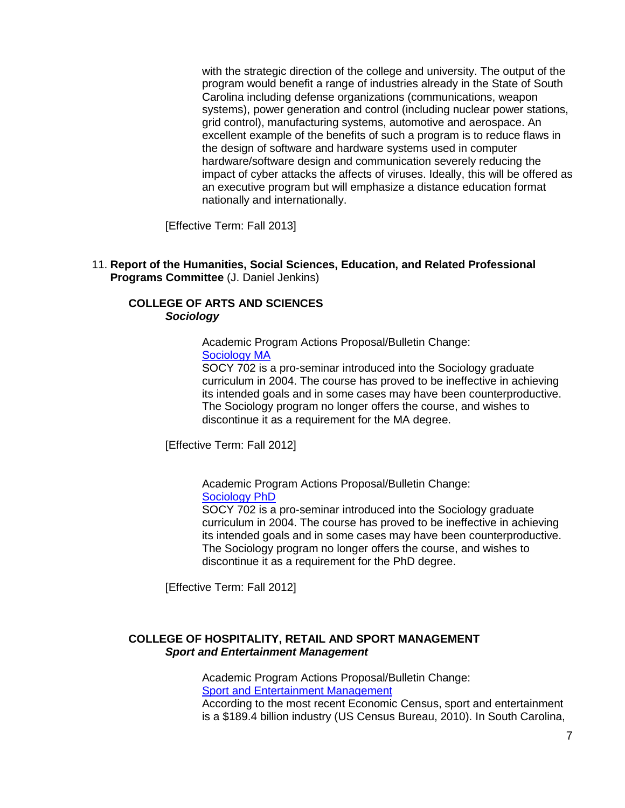with the strategic direction of the college and university. The output of the program would benefit a range of industries already in the State of South Carolina including defense organizations (communications, weapon systems), power generation and control (including nuclear power stations, grid control), manufacturing systems, automotive and aerospace. An excellent example of the benefits of such a program is to reduce flaws in the design of software and hardware systems used in computer hardware/software design and communication severely reducing the impact of cyber attacks the affects of viruses. Ideally, this will be offered as an executive program but will emphasize a distance education format nationally and internationally.

[Effective Term: Fall 2013]

11. **Report of the Humanities, Social Sciences, Education, and Related Professional Programs Committee** (J. Daniel Jenkins)

## **COLLEGE OF ARTS AND SCIENCES** *Sociology*

Academic Program Actions Proposal/Bulletin Change: [Sociology MA](http://app.gradschool.sc.edu/includes/filedownload-public.asp?location=E:/GMS/GRADCOUNCIL/2012/APASOCMA_201241_Redacted.pdf&file_name=APASOCMA_201241_Redacted.pdf)

SOCY 702 is a pro-seminar introduced into the Sociology graduate curriculum in 2004. The course has proved to be ineffective in achieving its intended goals and in some cases may have been counterproductive. The Sociology program no longer offers the course, and wishes to discontinue it as a requirement for the MA degree.

[Effective Term: Fall 2012]

Academic Program Actions Proposal/Bulletin Change: [Sociology PhD](http://app.gradschool.sc.edu/includes/filedownload-public.asp?location=E:/GMS/GRADCOUNCIL/2012/APASOCPHD_201241_Redacted.pdf&file_name=APASOCPHD_201241_Redacted.pdf)

SOCY 702 is a pro-seminar introduced into the Sociology graduate curriculum in 2004. The course has proved to be ineffective in achieving its intended goals and in some cases may have been counterproductive. The Sociology program no longer offers the course, and wishes to discontinue it as a requirement for the PhD degree.

[Effective Term: Fall 2012]

## **COLLEGE OF HOSPITALITY, RETAIL AND SPORT MANAGEMENT** *Sport and Entertainment Management*

Academic Program Actions Proposal/Bulletin Change: [Sport and Entertainment Management](http://app.gradschool.sc.edu/includes/filedownload-public.asp?location=E:/GMS/GRADCOUNCIL/2011/APAHRSP_201241_Redacted.pdf&file_name=APAHRSP_201241_Redacted.pdf) According to the most recent Economic Census, sport and entertainment is a \$189.4 billion industry (US Census Bureau, 2010). In South Carolina,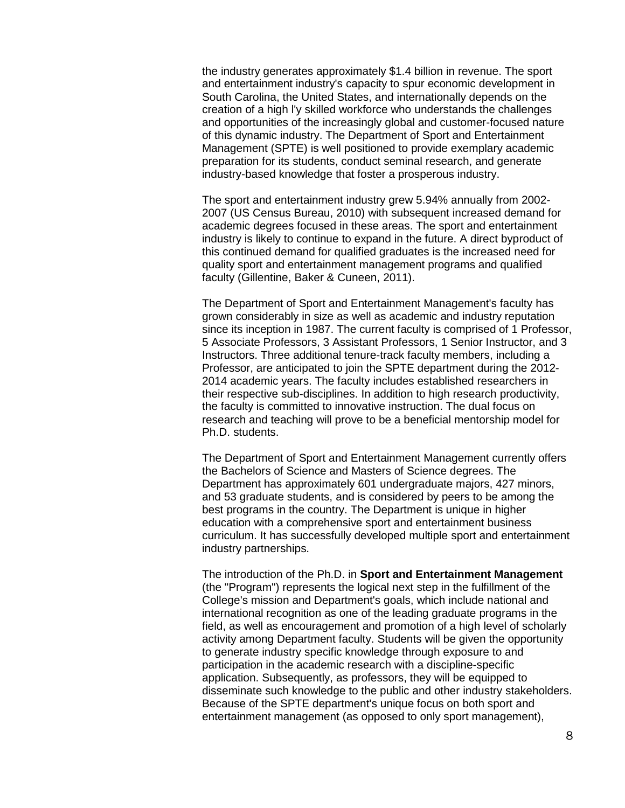the industry generates approximately \$1.4 billion in revenue. The sport and entertainment industry's capacity to spur economic development in South Carolina, the United States, and internationally depends on the creation of a high l'y skilled workforce who understands the challenges and opportunities of the increasingly global and customer-focused nature of this dynamic industry. The Department of Sport and Entertainment Management (SPTE) is well positioned to provide exemplary academic preparation for its students, conduct seminal research, and generate industry-based knowledge that foster a prosperous industry.

The sport and entertainment industry grew 5.94% annually from 2002- 2007 (US Census Bureau, 2010) with subsequent increased demand for academic degrees focused in these areas. The sport and entertainment industry is likely to continue to expand in the future. A direct byproduct of this continued demand for qualified graduates is the increased need for quality sport and entertainment management programs and qualified faculty (Gillentine, Baker & Cuneen, 2011).

The Department of Sport and Entertainment Management's faculty has grown considerably in size as well as academic and industry reputation since its inception in 1987. The current faculty is comprised of 1 Professor, 5 Associate Professors, 3 Assistant Professors, 1 Senior Instructor, and 3 Instructors. Three additional tenure-track faculty members, including a Professor, are anticipated to join the SPTE department during the 2012- 2014 academic years. The faculty includes established researchers in their respective sub-disciplines. In addition to high research productivity, the faculty is committed to innovative instruction. The dual focus on research and teaching will prove to be a beneficial mentorship model for Ph.D. students.

The Department of Sport and Entertainment Management currently offers the Bachelors of Science and Masters of Science degrees. The Department has approximately 601 undergraduate majors, 427 minors, and 53 graduate students, and is considered by peers to be among the best programs in the country. The Department is unique in higher education with a comprehensive sport and entertainment business curriculum. It has successfully developed multiple sport and entertainment industry partnerships.

The introduction of the Ph.D. in **Sport and Entertainment Management** (the "Program") represents the logical next step in the fulfillment of the College's mission and Department's goals, which include national and international recognition as one of the leading graduate programs in the field, as well as encouragement and promotion of a high level of scholarly activity among Department faculty. Students will be given the opportunity to generate industry specific knowledge through exposure to and participation in the academic research with a discipline-specific application. Subsequently, as professors, they will be equipped to disseminate such knowledge to the public and other industry stakeholders. Because of the SPTE department's unique focus on both sport and entertainment management (as opposed to only sport management),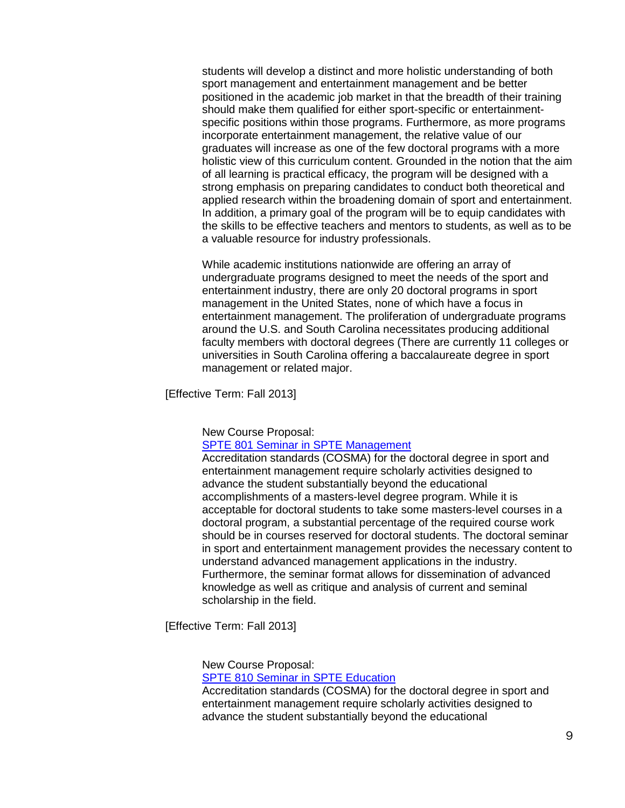students will develop a distinct and more holistic understanding of both sport management and entertainment management and be better positioned in the academic job market in that the breadth of their training should make them qualified for either sport-specific or entertainmentspecific positions within those programs. Furthermore, as more programs incorporate entertainment management, the relative value of our graduates will increase as one of the few doctoral programs with a more holistic view of this curriculum content. Grounded in the notion that the aim of all learning is practical efficacy, the program will be designed with a strong emphasis on preparing candidates to conduct both theoretical and applied research within the broadening domain of sport and entertainment. In addition, a primary goal of the program will be to equip candidates with the skills to be effective teachers and mentors to students, as well as to be a valuable resource for industry professionals.

While academic institutions nationwide are offering an array of undergraduate programs designed to meet the needs of the sport and entertainment industry, there are only 20 doctoral programs in sport management in the United States, none of which have a focus in entertainment management. The proliferation of undergraduate programs around the U.S. and South Carolina necessitates producing additional faculty members with doctoral degrees (There are currently 11 colleges or universities in South Carolina offering a baccalaureate degree in sport management or related major.

[Effective Term: Fall 2013]

New Course Proposal:

[SPTE 801 Seminar in SPTE Management](http://app.gradschool.sc.edu/includes/filedownload-public.asp?location=E:/GMS/GRADCOUNCIL/2011/NCPSPTE801_201241_Redacted.pdf&file_name=NCPSPTE801_201241_Redacted.pdf)

Accreditation standards (COSMA) for the doctoral degree in sport and entertainment management require scholarly activities designed to advance the student substantially beyond the educational accomplishments of a masters-level degree program. While it is acceptable for doctoral students to take some masters-level courses in a doctoral program, a substantial percentage of the required course work should be in courses reserved for doctoral students. The doctoral seminar in sport and entertainment management provides the necessary content to understand advanced management applications in the industry. Furthermore, the seminar format allows for dissemination of advanced knowledge as well as critique and analysis of current and seminal scholarship in the field.

[Effective Term: Fall 2013]

#### New Course Proposal:

#### [SPTE 810 Seminar in SPTE Education](http://app.gradschool.sc.edu/includes/filedownload-public.asp?location=E:/GMS/GRADCOUNCIL/2011/NCPSPTE810_201241_Redacted.pdf&file_name=NCPSPTE810_201241_Redacted.pdf)

Accreditation standards (COSMA) for the doctoral degree in sport and entertainment management require scholarly activities designed to advance the student substantially beyond the educational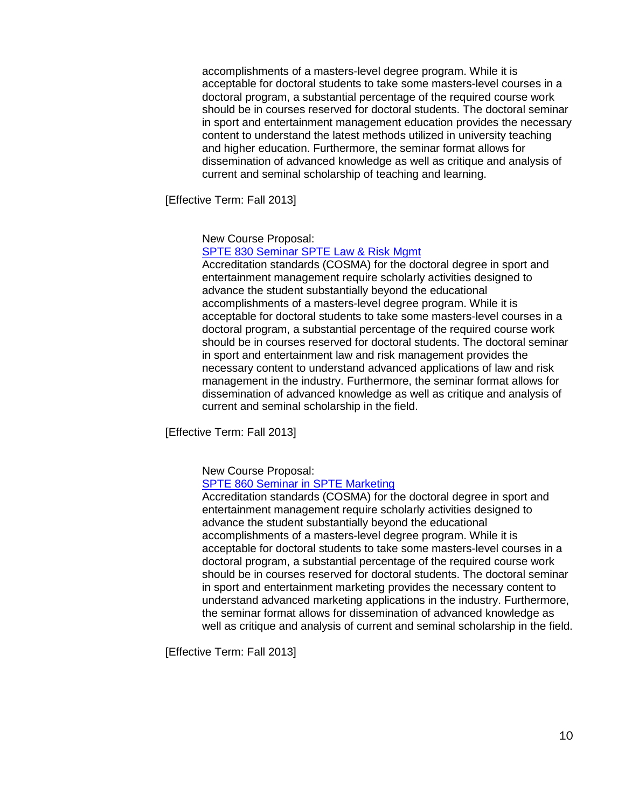accomplishments of a masters-level degree program. While it is acceptable for doctoral students to take some masters-level courses in a doctoral program, a substantial percentage of the required course work should be in courses reserved for doctoral students. The doctoral seminar in sport and entertainment management education provides the necessary content to understand the latest methods utilized in university teaching and higher education. Furthermore, the seminar format allows for dissemination of advanced knowledge as well as critique and analysis of current and seminal scholarship of teaching and learning.

[Effective Term: Fall 2013]

New Course Proposal:

[SPTE 830 Seminar SPTE Law & Risk Mgmt](http://app.gradschool.sc.edu/includes/filedownload-public.asp?location=E:/GMS/GRADCOUNCIL/2011/NCPSPTE830_201241_Redacted.pdf&file_name=NCPSPTE830_201241_Redacted.pdf)

Accreditation standards (COSMA) for the doctoral degree in sport and entertainment management require scholarly activities designed to advance the student substantially beyond the educational accomplishments of a masters-level degree program. While it is acceptable for doctoral students to take some masters-level courses in a doctoral program, a substantial percentage of the required course work should be in courses reserved for doctoral students. The doctoral seminar in sport and entertainment law and risk management provides the necessary content to understand advanced applications of law and risk management in the industry. Furthermore, the seminar format allows for dissemination of advanced knowledge as well as critique and analysis of current and seminal scholarship in the field.

[Effective Term: Fall 2013]

New Course Proposal:

## [SPTE 860 Seminar in SPTE Marketing](http://app.gradschool.sc.edu/includes/filedownload-public.asp?location=E:/GMS/GRADCOUNCIL/2011/NCPSPTE860_201241.pdf&file_name=NCPSPTE860_201241.pdf)

Accreditation standards (COSMA) for the doctoral degree in sport and entertainment management require scholarly activities designed to advance the student substantially beyond the educational accomplishments of a masters-level degree program. While it is acceptable for doctoral students to take some masters-level courses in a doctoral program, a substantial percentage of the required course work should be in courses reserved for doctoral students. The doctoral seminar in sport and entertainment marketing provides the necessary content to understand advanced marketing applications in the industry. Furthermore, the seminar format allows for dissemination of advanced knowledge as well as critique and analysis of current and seminal scholarship in the field.

[Effective Term: Fall 2013]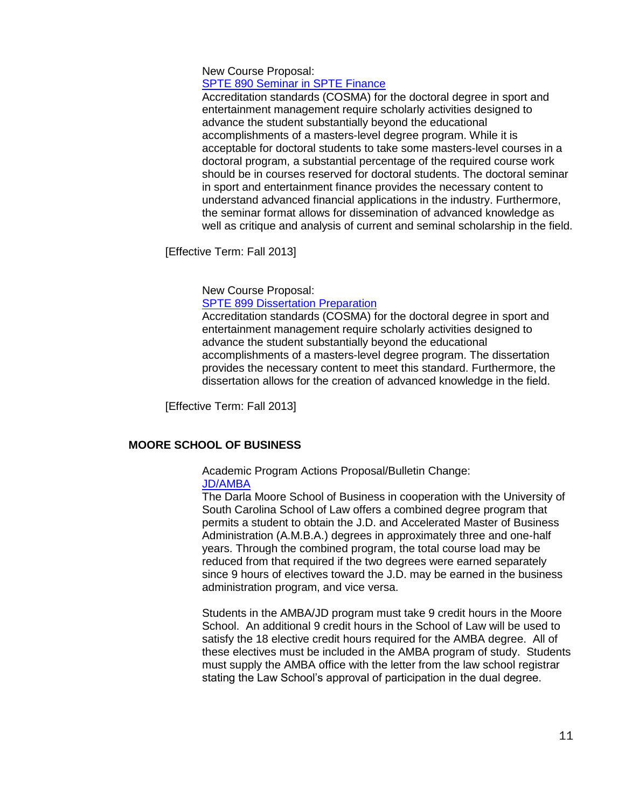## New Course Proposal:

# [SPTE 890 Seminar in SPTE Finance](http://app.gradschool.sc.edu/includes/filedownload-public.asp?location=E:/GMS/GRADCOUNCIL/2011/NCPSPTE890_201241.pdf&file_name=NCPSPTE890_201241.pdf)

Accreditation standards (COSMA) for the doctoral degree in sport and entertainment management require scholarly activities designed to advance the student substantially beyond the educational accomplishments of a masters-level degree program. While it is acceptable for doctoral students to take some masters-level courses in a doctoral program, a substantial percentage of the required course work should be in courses reserved for doctoral students. The doctoral seminar in sport and entertainment finance provides the necessary content to understand advanced financial applications in the industry. Furthermore, the seminar format allows for dissemination of advanced knowledge as well as critique and analysis of current and seminal scholarship in the field.

[Effective Term: Fall 2013]

New Course Proposal:

[SPTE 899 Dissertation Preparation](http://app.gradschool.sc.edu/includes/filedownload-public.asp?location=E:/GMS/GRADCOUNCIL/2011/NCPSPTE899_201241.pdf&file_name=NCPSPTE899_201241.pdf)

Accreditation standards (COSMA) for the doctoral degree in sport and entertainment management require scholarly activities designed to advance the student substantially beyond the educational accomplishments of a masters-level degree program. The dissertation provides the necessary content to meet this standard. Furthermore, the dissertation allows for the creation of advanced knowledge in the field.

[Effective Term: Fall 2013]

# **MOORE SCHOOL OF BUSINESS**

#### Academic Program Actions Proposal/Bulletin Change: [JD/AMBA](http://app.gradschool.sc.edu/includes/filedownload-public.asp?location=E:/GMS/GRADCOUNCIL/2012/APAJDAMBA_201241_Redacted.pdf&file_name=APAJDAMBA_201241_Redacted.pdf)

The Darla Moore School of Business in cooperation with the University of South Carolina School of Law offers a combined degree program that permits a student to obtain the J.D. and Accelerated Master of Business Administration (A.M.B.A.) degrees in approximately three and one-half years. Through the combined program, the total course load may be reduced from that required if the two degrees were earned separately since 9 hours of electives toward the J.D. may be earned in the business administration program, and vice versa.

Students in the AMBA/JD program must take 9 credit hours in the Moore School. An additional 9 credit hours in the School of Law will be used to satisfy the 18 elective credit hours required for the AMBA degree. All of these electives must be included in the AMBA program of study. Students must supply the AMBA office with the letter from the law school registrar stating the Law School's approval of participation in the dual degree.